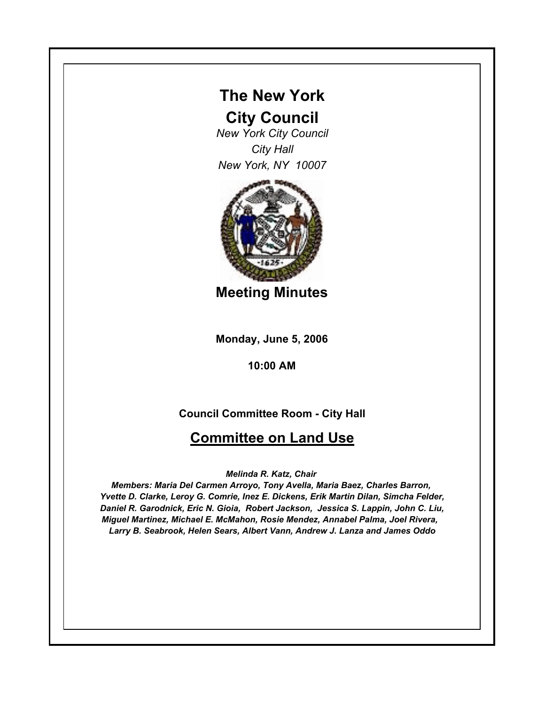## **The New York**

## **City Council**

*New York City Council City Hall New York, NY 10007*



**Meeting Minutes**

**Monday, June 5, 2006**

**10:00 AM**

## **Council Committee Room - City Hall**

## **Committee on Land Use**

*Melinda R. Katz, Chair* 

*Members: Maria Del Carmen Arroyo, Tony Avella, Maria Baez, Charles Barron, Yvette D. Clarke, Leroy G. Comrie, Inez E. Dickens, Erik Martin Dilan, Simcha Felder, Daniel R. Garodnick, Eric N. Gioia, Robert Jackson, Jessica S. Lappin, John C. Liu, Miguel Martinez, Michael E. McMahon, Rosie Mendez, Annabel Palma, Joel Rivera, Larry B. Seabrook, Helen Sears, Albert Vann, Andrew J. Lanza and James Oddo*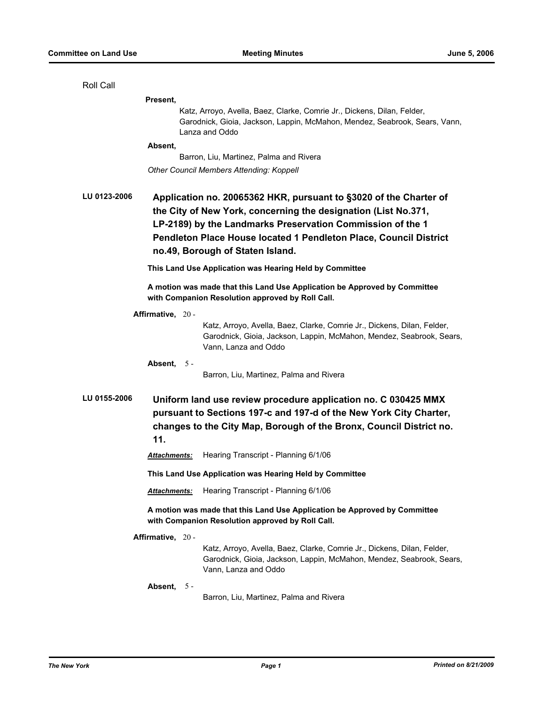| Roll Call                                                                                                                                                                                                                          |                                                                                                                                                                                                                                                                                                            |                                                                                                                                                                         |  |  |  |
|------------------------------------------------------------------------------------------------------------------------------------------------------------------------------------------------------------------------------------|------------------------------------------------------------------------------------------------------------------------------------------------------------------------------------------------------------------------------------------------------------------------------------------------------------|-------------------------------------------------------------------------------------------------------------------------------------------------------------------------|--|--|--|
|                                                                                                                                                                                                                                    | Present,                                                                                                                                                                                                                                                                                                   |                                                                                                                                                                         |  |  |  |
|                                                                                                                                                                                                                                    |                                                                                                                                                                                                                                                                                                            | Katz, Arroyo, Avella, Baez, Clarke, Comrie Jr., Dickens, Dilan, Felder,<br>Garodnick, Gioia, Jackson, Lappin, McMahon, Mendez, Seabrook, Sears, Vann,<br>Lanza and Oddo |  |  |  |
|                                                                                                                                                                                                                                    | Absent,                                                                                                                                                                                                                                                                                                    |                                                                                                                                                                         |  |  |  |
|                                                                                                                                                                                                                                    |                                                                                                                                                                                                                                                                                                            | Barron, Liu, Martinez, Palma and Rivera                                                                                                                                 |  |  |  |
|                                                                                                                                                                                                                                    |                                                                                                                                                                                                                                                                                                            | <b>Other Council Members Attending: Koppell</b>                                                                                                                         |  |  |  |
| LU 0123-2006                                                                                                                                                                                                                       | Application no. 20065362 HKR, pursuant to §3020 of the Charter of<br>the City of New York, concerning the designation (List No.371,<br>LP-2189) by the Landmarks Preservation Commission of the 1<br>Pendleton Place House located 1 Pendleton Place, Council District<br>no.49, Borough of Staten Island. |                                                                                                                                                                         |  |  |  |
|                                                                                                                                                                                                                                    |                                                                                                                                                                                                                                                                                                            | This Land Use Application was Hearing Held by Committee                                                                                                                 |  |  |  |
|                                                                                                                                                                                                                                    |                                                                                                                                                                                                                                                                                                            | A motion was made that this Land Use Application be Approved by Committee<br>with Companion Resolution approved by Roll Call.                                           |  |  |  |
|                                                                                                                                                                                                                                    | Affirmative, 20 -                                                                                                                                                                                                                                                                                          |                                                                                                                                                                         |  |  |  |
|                                                                                                                                                                                                                                    |                                                                                                                                                                                                                                                                                                            | Katz, Arroyo, Avella, Baez, Clarke, Comrie Jr., Dickens, Dilan, Felder,<br>Garodnick, Gioia, Jackson, Lappin, McMahon, Mendez, Seabrook, Sears,<br>Vann, Lanza and Oddo |  |  |  |
|                                                                                                                                                                                                                                    | Absent, $5 -$                                                                                                                                                                                                                                                                                              |                                                                                                                                                                         |  |  |  |
|                                                                                                                                                                                                                                    |                                                                                                                                                                                                                                                                                                            | Barron, Liu, Martinez, Palma and Rivera                                                                                                                                 |  |  |  |
| LU 0155-2006<br>Uniform land use review procedure application no. C 030425 MMX<br>pursuant to Sections 197-c and 197-d of the New York City Charter,<br>changes to the City Map, Borough of the Bronx, Council District no.<br>11. |                                                                                                                                                                                                                                                                                                            |                                                                                                                                                                         |  |  |  |
|                                                                                                                                                                                                                                    | Attachments:                                                                                                                                                                                                                                                                                               | Hearing Transcript - Planning 6/1/06                                                                                                                                    |  |  |  |
|                                                                                                                                                                                                                                    | This Land Use Application was Hearing Held by Committee                                                                                                                                                                                                                                                    |                                                                                                                                                                         |  |  |  |
|                                                                                                                                                                                                                                    | <b>Attachments:</b>                                                                                                                                                                                                                                                                                        | Hearing Transcript - Planning 6/1/06                                                                                                                                    |  |  |  |
| A motion was made that this Land Use Application be Approved by Committee<br>with Companion Resolution approved by Roll Call.                                                                                                      |                                                                                                                                                                                                                                                                                                            |                                                                                                                                                                         |  |  |  |
|                                                                                                                                                                                                                                    | Affirmative, 20 -                                                                                                                                                                                                                                                                                          |                                                                                                                                                                         |  |  |  |
|                                                                                                                                                                                                                                    |                                                                                                                                                                                                                                                                                                            | Katz, Arroyo, Avella, Baez, Clarke, Comrie Jr., Dickens, Dilan, Felder,<br>Garodnick, Gioia, Jackson, Lappin, McMahon, Mendez, Seabrook, Sears,<br>Vann, Lanza and Oddo |  |  |  |
|                                                                                                                                                                                                                                    | Absent, 5 -                                                                                                                                                                                                                                                                                                |                                                                                                                                                                         |  |  |  |
|                                                                                                                                                                                                                                    |                                                                                                                                                                                                                                                                                                            | Barron, Liu, Martinez, Palma and Rivera                                                                                                                                 |  |  |  |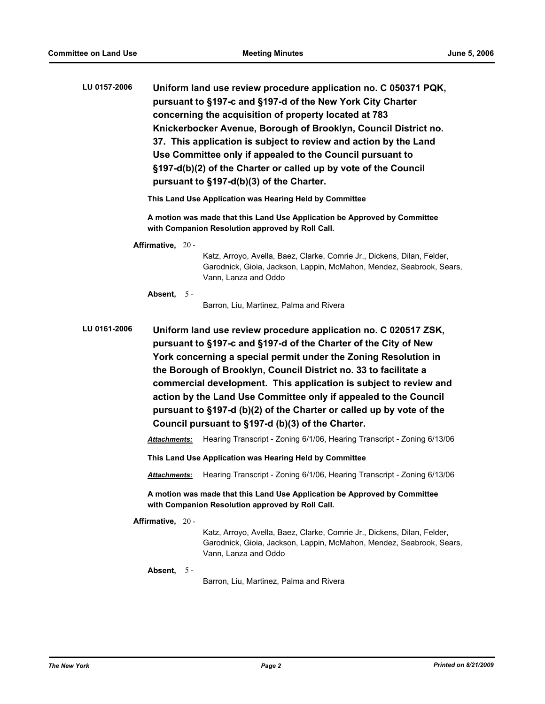| LU 0157-2006 | Uniform land use review procedure application no. C 050371 PQK,  |
|--------------|------------------------------------------------------------------|
|              | pursuant to §197-c and §197-d of the New York City Charter       |
|              | concerning the acquisition of property located at 783            |
|              | Knickerbocker Avenue, Borough of Brooklyn, Council District no.  |
|              | 37. This application is subject to review and action by the Land |
|              | Use Committee only if appealed to the Council pursuant to        |
|              | §197-d(b)(2) of the Charter or called up by vote of the Council  |
|              | pursuant to §197-d(b)(3) of the Charter.                         |

**This Land Use Application was Hearing Held by Committee**

**A motion was made that this Land Use Application be Approved by Committee with Companion Resolution approved by Roll Call.**

**Affirmative,** 20 -

Katz, Arroyo, Avella, Baez, Clarke, Comrie Jr., Dickens, Dilan, Felder, Garodnick, Gioia, Jackson, Lappin, McMahon, Mendez, Seabrook, Sears, Vann, Lanza and Oddo

**Absent,** 5 -

Barron, Liu, Martinez, Palma and Rivera

**LU 0161-2006 Uniform land use review procedure application no. C 020517 ZSK, pursuant to §197-c and §197-d of the Charter of the City of New York concerning a special permit under the Zoning Resolution in the Borough of Brooklyn, Council District no. 33 to facilitate a commercial development. This application is subject to review and action by the Land Use Committee only if appealed to the Council pursuant to §197-d (b)(2) of the Charter or called up by vote of the Council pursuant to §197-d (b)(3) of the Charter.**

*Attachments:* Hearing Transcript - Zoning 6/1/06, Hearing Transcript - Zoning 6/13/06

**This Land Use Application was Hearing Held by Committee**

*Attachments:* Hearing Transcript - Zoning 6/1/06, Hearing Transcript - Zoning 6/13/06

**A motion was made that this Land Use Application be Approved by Committee with Companion Resolution approved by Roll Call.**

**Affirmative,** 20 -

Katz, Arroyo, Avella, Baez, Clarke, Comrie Jr., Dickens, Dilan, Felder, Garodnick, Gioia, Jackson, Lappin, McMahon, Mendez, Seabrook, Sears, Vann, Lanza and Oddo

**Absent,** 5 -

Barron, Liu, Martinez, Palma and Rivera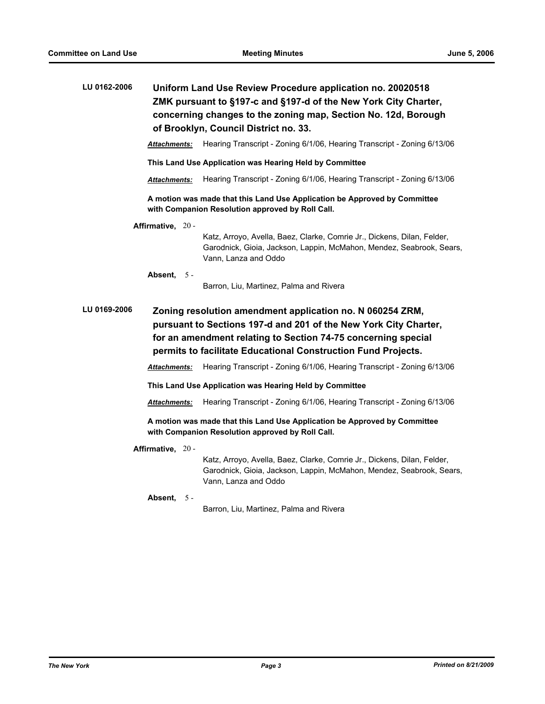| LU 0162-2006 | Uniform Land Use Review Procedure application no. 20020518      |  |  |
|--------------|-----------------------------------------------------------------|--|--|
|              | ZMK pursuant to §197-c and §197-d of the New York City Charter, |  |  |
|              | concerning changes to the zoning map, Section No. 12d, Borough  |  |  |
|              | of Brooklyn, Council District no. 33.                           |  |  |

*Attachments:* Hearing Transcript - Zoning 6/1/06, Hearing Transcript - Zoning 6/13/06

**This Land Use Application was Hearing Held by Committee**

*Attachments:* Hearing Transcript - Zoning 6/1/06, Hearing Transcript - Zoning 6/13/06

**A motion was made that this Land Use Application be Approved by Committee with Companion Resolution approved by Roll Call.**

**Affirmative,** 20 -

Katz, Arroyo, Avella, Baez, Clarke, Comrie Jr., Dickens, Dilan, Felder, Garodnick, Gioia, Jackson, Lappin, McMahon, Mendez, Seabrook, Sears, Vann, Lanza and Oddo

**Absent,** 5 -

Barron, Liu, Martinez, Palma and Rivera

**LU 0169-2006 Zoning resolution amendment application no. N 060254 ZRM, pursuant to Sections 197-d and 201 of the New York City Charter, for an amendment relating to Section 74-75 concerning special permits to facilitate Educational Construction Fund Projects.**

*Attachments:* Hearing Transcript - Zoning 6/1/06, Hearing Transcript - Zoning 6/13/06

**This Land Use Application was Hearing Held by Committee**

*Attachments:* Hearing Transcript - Zoning 6/1/06, Hearing Transcript - Zoning 6/13/06

**A motion was made that this Land Use Application be Approved by Committee with Companion Resolution approved by Roll Call.**

**Affirmative,** 20 -

Katz, Arroyo, Avella, Baez, Clarke, Comrie Jr., Dickens, Dilan, Felder, Garodnick, Gioia, Jackson, Lappin, McMahon, Mendez, Seabrook, Sears, Vann, Lanza and Oddo

**Absent,** 5 -

Barron, Liu, Martinez, Palma and Rivera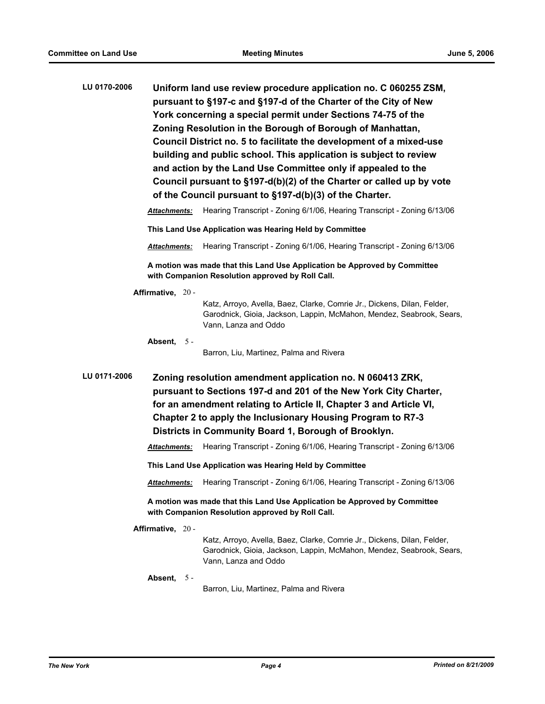**LU 0170-2006 Uniform land use review procedure application no. C 060255 ZSM, pursuant to §197-c and §197-d of the Charter of the City of New York concerning a special permit under Sections 74-75 of the Zoning Resolution in the Borough of Borough of Manhattan, Council District no. 5 to facilitate the development of a mixed-use building and public school. This application is subject to review and action by the Land Use Committee only if appealed to the Council pursuant to §197-d(b)(2) of the Charter or called up by vote of the Council pursuant to §197-d(b)(3) of the Charter.** *Attachments:* Hearing Transcript - Zoning 6/1/06, Hearing Transcript - Zoning 6/13/06 **This Land Use Application was Hearing Held by Committee** *Attachments:* Hearing Transcript - Zoning 6/1/06, Hearing Transcript - Zoning 6/13/06 **A motion was made that this Land Use Application be Approved by Committee with Companion Resolution approved by Roll Call. Affirmative,** 20 - Katz, Arroyo, Avella, Baez, Clarke, Comrie Jr., Dickens, Dilan, Felder, Garodnick, Gioia, Jackson, Lappin, McMahon, Mendez, Seabrook, Sears, Vann, Lanza and Oddo **Absent,** 5 - Barron, Liu, Martinez, Palma and Rivera **LU 0171-2006 Zoning resolution amendment application no. N 060413 ZRK, pursuant to Sections 197-d and 201 of the New York City Charter, for an amendment relating to Article II, Chapter 3 and Article VI, Chapter 2 to apply the Inclusionary Housing Program to R7-3 Districts in Community Board 1, Borough of Brooklyn.** *Attachments:* Hearing Transcript - Zoning 6/1/06, Hearing Transcript - Zoning 6/13/06 **This Land Use Application was Hearing Held by Committee** *Attachments:* Hearing Transcript - Zoning 6/1/06, Hearing Transcript - Zoning 6/13/06 **A motion was made that this Land Use Application be Approved by Committee with Companion Resolution approved by Roll Call. Affirmative,** 20 - Katz, Arroyo, Avella, Baez, Clarke, Comrie Jr., Dickens, Dilan, Felder, Garodnick, Gioia, Jackson, Lappin, McMahon, Mendez, Seabrook, Sears, Vann, Lanza and Oddo **Absent,** 5 -

Barron, Liu, Martinez, Palma and Rivera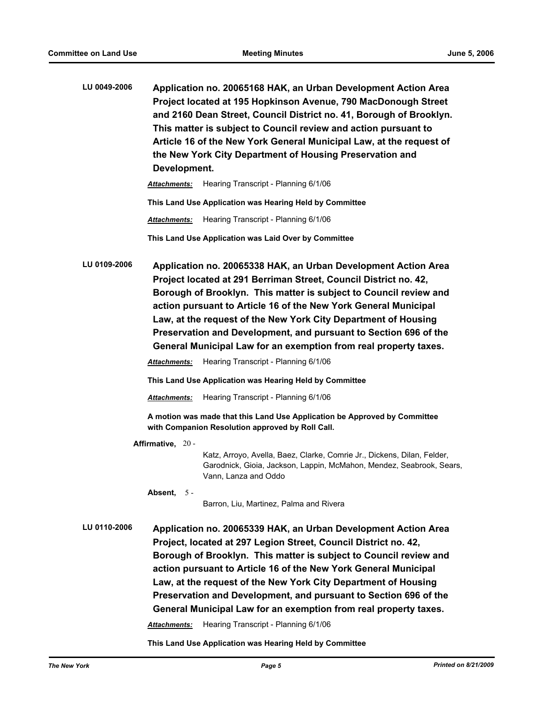| LU 0049-2006 | Application no. 20065168 HAK, an Urban Development Action Area      |
|--------------|---------------------------------------------------------------------|
|              | Project located at 195 Hopkinson Avenue, 790 MacDonough Street      |
|              | and 2160 Dean Street, Council District no. 41, Borough of Brooklyn. |
|              | This matter is subject to Council review and action pursuant to     |
|              | Article 16 of the New York General Municipal Law, at the request of |
|              | the New York City Department of Housing Preservation and            |
|              | Development.                                                        |
|              |                                                                     |

*Attachments:* Hearing Transcript - Planning 6/1/06

**This Land Use Application was Hearing Held by Committee**

*Attachments:* Hearing Transcript - Planning 6/1/06

**This Land Use Application was Laid Over by Committee**

**LU 0109-2006 Application no. 20065338 HAK, an Urban Development Action Area Project located at 291 Berriman Street, Council District no. 42, Borough of Brooklyn. This matter is subject to Council review and action pursuant to Article 16 of the New York General Municipal Law, at the request of the New York City Department of Housing Preservation and Development, and pursuant to Section 696 of the General Municipal Law for an exemption from real property taxes.**

*Attachments:* Hearing Transcript - Planning 6/1/06

**This Land Use Application was Hearing Held by Committee**

*Attachments:* Hearing Transcript - Planning 6/1/06

**A motion was made that this Land Use Application be Approved by Committee with Companion Resolution approved by Roll Call.**

**Affirmative,** 20 -

Katz, Arroyo, Avella, Baez, Clarke, Comrie Jr., Dickens, Dilan, Felder, Garodnick, Gioia, Jackson, Lappin, McMahon, Mendez, Seabrook, Sears, Vann, Lanza and Oddo

**Absent,** 5 -

Barron, Liu, Martinez, Palma and Rivera

**LU 0110-2006 Application no. 20065339 HAK, an Urban Development Action Area Project, located at 297 Legion Street, Council District no. 42, Borough of Brooklyn. This matter is subject to Council review and action pursuant to Article 16 of the New York General Municipal Law, at the request of the New York City Department of Housing Preservation and Development, and pursuant to Section 696 of the General Municipal Law for an exemption from real property taxes.**

*Attachments:* Hearing Transcript - Planning 6/1/06

**This Land Use Application was Hearing Held by Committee**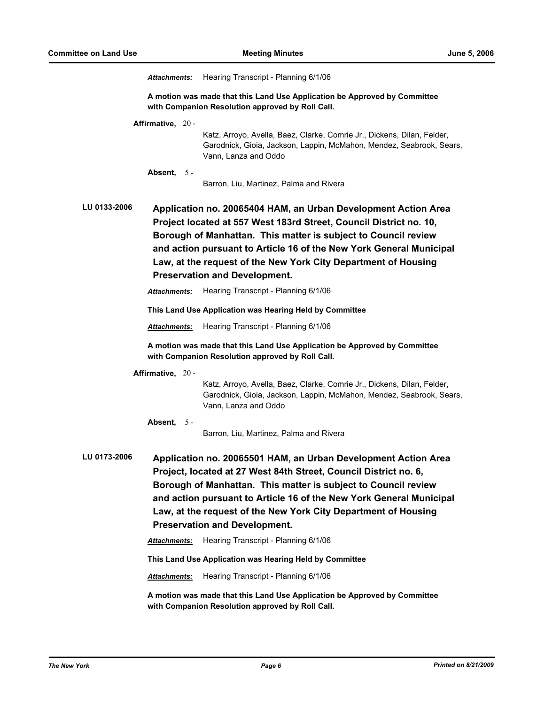*Attachments:* Hearing Transcript - Planning 6/1/06

**A motion was made that this Land Use Application be Approved by Committee with Companion Resolution approved by Roll Call.**

**Affirmative,** 20 -

Katz, Arroyo, Avella, Baez, Clarke, Comrie Jr., Dickens, Dilan, Felder, Garodnick, Gioia, Jackson, Lappin, McMahon, Mendez, Seabrook, Sears, Vann, Lanza and Oddo

**Absent,** 5 -

Barron, Liu, Martinez, Palma and Rivera

**LU 0133-2006 Application no. 20065404 HAM, an Urban Development Action Area Project located at 557 West 183rd Street, Council District no. 10, Borough of Manhattan. This matter is subject to Council review and action pursuant to Article 16 of the New York General Municipal Law, at the request of the New York City Department of Housing Preservation and Development.**

*Attachments:* Hearing Transcript - Planning 6/1/06

**This Land Use Application was Hearing Held by Committee**

*Attachments:* Hearing Transcript - Planning 6/1/06

**A motion was made that this Land Use Application be Approved by Committee with Companion Resolution approved by Roll Call.**

**Affirmative,** 20 -

Katz, Arroyo, Avella, Baez, Clarke, Comrie Jr., Dickens, Dilan, Felder, Garodnick, Gioia, Jackson, Lappin, McMahon, Mendez, Seabrook, Sears, Vann, Lanza and Oddo

**Absent,** 5 -

Barron, Liu, Martinez, Palma and Rivera

**LU 0173-2006 Application no. 20065501 HAM, an Urban Development Action Area Project, located at 27 West 84th Street, Council District no. 6, Borough of Manhattan. This matter is subject to Council review and action pursuant to Article 16 of the New York General Municipal Law, at the request of the New York City Department of Housing Preservation and Development.**

*Attachments:* Hearing Transcript - Planning 6/1/06

**This Land Use Application was Hearing Held by Committee**

*Attachments:* Hearing Transcript - Planning 6/1/06

**A motion was made that this Land Use Application be Approved by Committee with Companion Resolution approved by Roll Call.**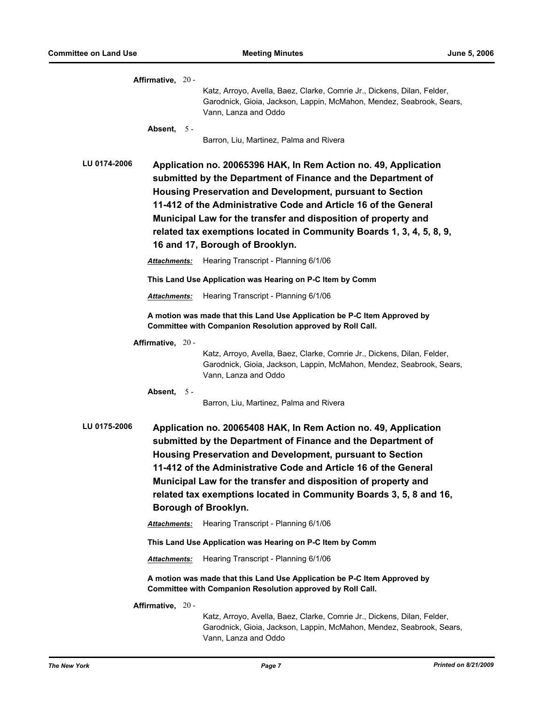| Affirmative, 20 -                                                                                                                                                                                                                                                                                                                                                                                                                               |  | Katz, Arroyo, Avella, Baez, Clarke, Comrie Jr., Dickens, Dilan, Felder,                                                                                                                                                                                                                                                                                                                                                                      |  |  |  |
|-------------------------------------------------------------------------------------------------------------------------------------------------------------------------------------------------------------------------------------------------------------------------------------------------------------------------------------------------------------------------------------------------------------------------------------------------|--|----------------------------------------------------------------------------------------------------------------------------------------------------------------------------------------------------------------------------------------------------------------------------------------------------------------------------------------------------------------------------------------------------------------------------------------------|--|--|--|
|                                                                                                                                                                                                                                                                                                                                                                                                                                                 |  | Garodnick, Gioia, Jackson, Lappin, McMahon, Mendez, Seabrook, Sears,<br>Vann, Lanza and Oddo                                                                                                                                                                                                                                                                                                                                                 |  |  |  |
| Absent, 5 -                                                                                                                                                                                                                                                                                                                                                                                                                                     |  |                                                                                                                                                                                                                                                                                                                                                                                                                                              |  |  |  |
|                                                                                                                                                                                                                                                                                                                                                                                                                                                 |  | Barron, Liu, Martinez, Palma and Rivera                                                                                                                                                                                                                                                                                                                                                                                                      |  |  |  |
| LU 0174-2006                                                                                                                                                                                                                                                                                                                                                                                                                                    |  | Application no. 20065396 HAK, In Rem Action no. 49, Application<br>submitted by the Department of Finance and the Department of<br>Housing Preservation and Development, pursuant to Section<br>11-412 of the Administrative Code and Article 16 of the General<br>Municipal Law for the transfer and disposition of property and<br>related tax exemptions located in Community Boards 1, 3, 4, 5, 8, 9,<br>16 and 17, Borough of Brooklyn. |  |  |  |
| Attachments:                                                                                                                                                                                                                                                                                                                                                                                                                                    |  | Hearing Transcript - Planning 6/1/06                                                                                                                                                                                                                                                                                                                                                                                                         |  |  |  |
|                                                                                                                                                                                                                                                                                                                                                                                                                                                 |  | This Land Use Application was Hearing on P-C Item by Comm                                                                                                                                                                                                                                                                                                                                                                                    |  |  |  |
| <b>Attachments:</b>                                                                                                                                                                                                                                                                                                                                                                                                                             |  | Hearing Transcript - Planning 6/1/06                                                                                                                                                                                                                                                                                                                                                                                                         |  |  |  |
|                                                                                                                                                                                                                                                                                                                                                                                                                                                 |  | A motion was made that this Land Use Application be P-C Item Approved by<br>Committee with Companion Resolution approved by Roll Call.                                                                                                                                                                                                                                                                                                       |  |  |  |
| Affirmative, 20 -                                                                                                                                                                                                                                                                                                                                                                                                                               |  |                                                                                                                                                                                                                                                                                                                                                                                                                                              |  |  |  |
|                                                                                                                                                                                                                                                                                                                                                                                                                                                 |  | Katz, Arroyo, Avella, Baez, Clarke, Comrie Jr., Dickens, Dilan, Felder,<br>Garodnick, Gioia, Jackson, Lappin, McMahon, Mendez, Seabrook, Sears,<br>Vann, Lanza and Oddo                                                                                                                                                                                                                                                                      |  |  |  |
| Absent, $5 -$                                                                                                                                                                                                                                                                                                                                                                                                                                   |  | Barron, Liu, Martinez, Palma and Rivera                                                                                                                                                                                                                                                                                                                                                                                                      |  |  |  |
| LU 0175-2006<br>Application no. 20065408 HAK, In Rem Action no. 49, Application<br>submitted by the Department of Finance and the Department of<br>Housing Preservation and Development, pursuant to Section<br>11-412 of the Administrative Code and Article 16 of the General<br>Municipal Law for the transfer and disposition of property and<br>related tax exemptions located in Community Boards 3, 5, 8 and 16,<br>Borough of Brooklyn. |  |                                                                                                                                                                                                                                                                                                                                                                                                                                              |  |  |  |
| Attachments:                                                                                                                                                                                                                                                                                                                                                                                                                                    |  | Hearing Transcript - Planning 6/1/06                                                                                                                                                                                                                                                                                                                                                                                                         |  |  |  |
|                                                                                                                                                                                                                                                                                                                                                                                                                                                 |  | This Land Use Application was Hearing on P-C Item by Comm                                                                                                                                                                                                                                                                                                                                                                                    |  |  |  |
| Attachments:                                                                                                                                                                                                                                                                                                                                                                                                                                    |  | Hearing Transcript - Planning 6/1/06                                                                                                                                                                                                                                                                                                                                                                                                         |  |  |  |
|                                                                                                                                                                                                                                                                                                                                                                                                                                                 |  | A motion was made that this Land Use Application be P-C Item Approved by<br>Committee with Companion Resolution approved by Roll Call.                                                                                                                                                                                                                                                                                                       |  |  |  |
| Affirmative, 20 -                                                                                                                                                                                                                                                                                                                                                                                                                               |  |                                                                                                                                                                                                                                                                                                                                                                                                                                              |  |  |  |
|                                                                                                                                                                                                                                                                                                                                                                                                                                                 |  | Katz, Arroyo, Avella, Baez, Clarke, Comrie Jr., Dickens, Dilan, Felder,<br>Garodnick, Gioia, Jackson, Lappin, McMahon, Mendez, Seabrook, Sears,<br>Vann, Lanza and Oddo                                                                                                                                                                                                                                                                      |  |  |  |